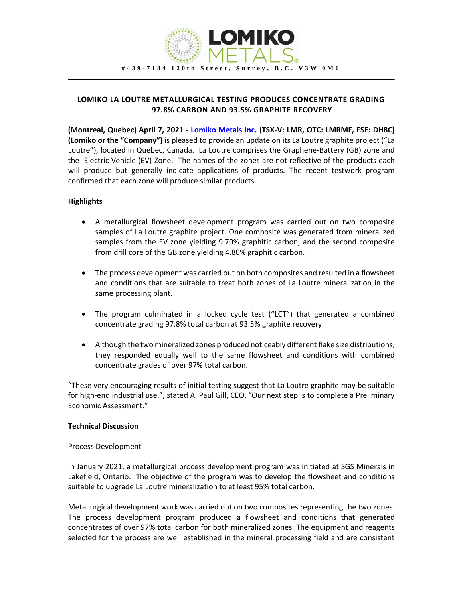

# **LOMIKO LA LOUTRE METALLURGICAL TESTING PRODUCES CONCENTRATE GRADING 97.8% CARBON AND 93.5% GRAPHITE RECOVERY**

**(Montreal, Quebec) April 7, 2021 - [Lomiko Metals Inc.](https://www.lomiko.com/) (TSX-V: LMR, OTC: LMRMF, FSE: DH8C) (Lomiko or the "Company")** is pleased to provide an update on its La Loutre graphite project ("La Loutre"), located in Quebec, Canada. La Loutre comprises the Graphene-Battery (GB) zone and the Electric Vehicle (EV) Zone. The names of the zones are not reflective of the products each will produce but generally indicate applications of products. The recent testwork program confirmed that each zone will produce similar products.

## **Highlights**

- A metallurgical flowsheet development program was carried out on two composite samples of La Loutre graphite project. One composite was generated from mineralized samples from the EV zone yielding 9.70% graphitic carbon, and the second composite from drill core of the GB zone yielding 4.80% graphitic carbon.
- The process development was carried out on both composites and resulted in a flowsheet and conditions that are suitable to treat both zones of La Loutre mineralization in the same processing plant.
- The program culminated in a locked cycle test ("LCT") that generated a combined concentrate grading 97.8% total carbon at 93.5% graphite recovery.
- Although the two mineralized zones produced noticeably different flake size distributions, they responded equally well to the same flowsheet and conditions with combined concentrate grades of over 97% total carbon.

"These very encouraging results of initial testing suggest that La Loutre graphite may be suitable for high-end industrial use.", stated A. Paul Gill, CEO, "Our next step is to complete a Preliminary Economic Assessment."

#### **Technical Discussion**

#### Process Development

In January 2021, a metallurgical process development program was initiated at SGS Minerals in Lakefield, Ontario. The objective of the program was to develop the flowsheet and conditions suitable to upgrade La Loutre mineralization to at least 95% total carbon.

Metallurgical development work was carried out on two composites representing the two zones. The process development program produced a flowsheet and conditions that generated concentrates of over 97% total carbon for both mineralized zones. The equipment and reagents selected for the process are well established in the mineral processing field and are consistent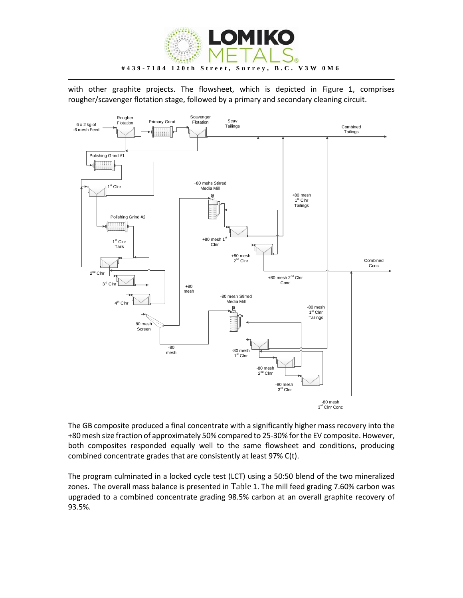

with other graphite projects. The flowsheet, which is depicted in Figure 1, comprises rougher/scavenger flotation stage, followed by a primary and secondary cleaning circuit.



The GB composite produced a final concentrate with a significantly higher mass recovery into the +80 mesh size fraction of approximately 50% compared to 25-30% for the EV composite. However, both composites responded equally well to the same flowsheet and conditions, producing combined concentrate grades that are consistently at least 97% C(t).

The program culminated in a locked cycle test (LCT) using a 50:50 blend of the two mineralized zones. The overall mass balance is presented in [Table](#page-2-0) [1.](#page-2-0) The mill feed grading 7.60% carbon was upgraded to a combined concentrate grading 98.5% carbon at an overall graphite recovery of 93.5%.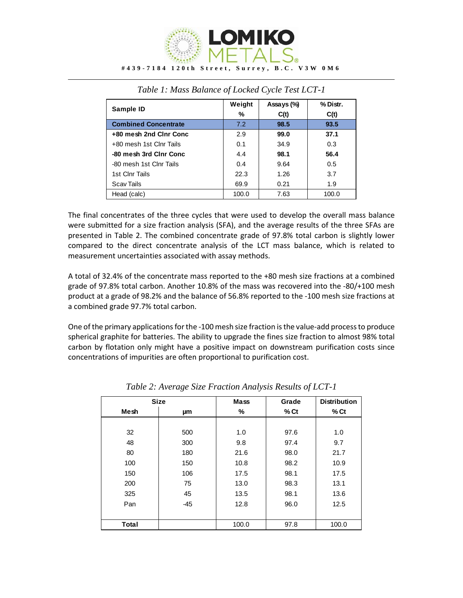

<span id="page-2-0"></span>

| Sample ID                   | Weight | Assays (%) | % Distr. |
|-----------------------------|--------|------------|----------|
|                             | %      | C(t)       | C(t)     |
| <b>Combined Concentrate</b> | 7.2    | 98.5       | 93.5     |
| +80 mesh 2nd Clnr Conc      | 2.9    | 99.0       | 37.1     |
| +80 mesh 1st Clnr Tails     | 0.1    | 34.9       | 0.3      |
| -80 mesh 3rd Clnr Conc      | 4.4    | 98.1       | 56.4     |
| -80 mesh 1st Clnr Tails     | 0.4    | 9.64       | 0.5      |
| 1st Clnr Tails              | 22.3   | 1.26       | 3.7      |
| <b>Scav Tails</b>           | 69.9   | 0.21       | 1.9      |
| Head (calc)                 | 100.0  | 7.63       | 100.0    |

|  | Table 1: Mass Balance of Locked Cycle Test LCT-1 |
|--|--------------------------------------------------|
|  |                                                  |

The final concentrates of the three cycles that were used to develop the overall mass balance were submitted for a size fraction analysis (SFA), and the average results of the three SFAs are presented in [Table 2.](#page-2-1) The combined concentrate grade of 97.8% total carbon is slightly lower compared to the direct concentrate analysis of the LCT mass balance, which is related to measurement uncertainties associated with assay methods.

A total of 32.4% of the concentrate mass reported to the +80 mesh size fractions at a combined grade of 97.8% total carbon. Another 10.8% of the mass was recovered into the -80/+100 mesh product at a grade of 98.2% and the balance of 56.8% reported to the -100 mesh size fractions at a combined grade 97.7% total carbon.

One of the primary applications for the -100 mesh size fraction is the value-add process to produce spherical graphite for batteries. The ability to upgrade the fines size fraction to almost 98% total carbon by flotation only might have a positive impact on downstream purification costs since concentrations of impurities are often proportional to purification cost.

<span id="page-2-1"></span>

| <b>Size</b>  |       | <b>Mass</b> | Grade  | <b>Distribution</b> |
|--------------|-------|-------------|--------|---------------------|
| <b>Mesh</b>  | μm    | %           | $%$ Ct | $%$ Ct              |
|              |       |             |        |                     |
| 32           | 500   | 1.0         | 97.6   | 1.0                 |
| 48           | 300   | 9.8         | 97.4   | 9.7                 |
| 80           | 180   | 21.6        | 98.0   | 21.7                |
| 100          | 150   | 10.8        | 98.2   | 10.9                |
| 150          | 106   | 17.5        | 98.1   | 17.5                |
| 200          | 75    | 13.0        | 98.3   | 13.1                |
| 325          | 45    | 13.5        | 98.1   | 13.6                |
| Pan          | $-45$ | 12.8        | 96.0   | 12.5                |
|              |       |             |        |                     |
| <b>Total</b> |       | 100.0       | 97.8   | 100.0               |

*Table 2: Average Size Fraction Analysis Results of LCT-1*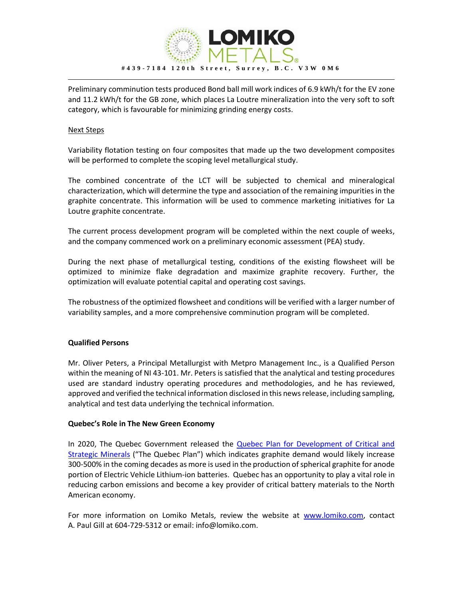

Preliminary comminution tests produced Bond ball mill work indices of 6.9 kWh/t for the EV zone and 11.2 kWh/t for the GB zone, which places La Loutre mineralization into the very soft to soft category, which is favourable for minimizing grinding energy costs.

### Next Steps

Variability flotation testing on four composites that made up the two development composites will be performed to complete the scoping level metallurgical study.

The combined concentrate of the LCT will be subjected to chemical and mineralogical characterization, which will determine the type and association of the remaining impurities in the graphite concentrate. This information will be used to commence marketing initiatives for La Loutre graphite concentrate.

The current process development program will be completed within the next couple of weeks, and the company commenced work on a preliminary economic assessment (PEA) study.

During the next phase of metallurgical testing, conditions of the existing flowsheet will be optimized to minimize flake degradation and maximize graphite recovery. Further, the optimization will evaluate potential capital and operating cost savings.

The robustness of the optimized flowsheet and conditions will be verified with a larger number of variability samples, and a more comprehensive comminution program will be completed.

## **Qualified Persons**

Mr. Oliver Peters, a Principal Metallurgist with Metpro Management Inc., is a Qualified Person within the meaning of NI 43-101. Mr. Peters is satisfied that the analytical and testing procedures used are standard industry operating procedures and methodologies, and he has reviewed, approved and verified the technical information disclosed in this news release, including sampling, analytical and test data underlying the technical information.

#### **Quebec's Role in The New Green Economy**

In 2020, The Quebec Government released the Quebec Plan for Development of Critical and [Strategic Minerals](https://cdn-contenu.quebec.ca/cdn-contenu/ressources-naturelles/Documents/PL_critical_strategic_minerals.pdf?1604003187) ("The Quebec Plan") which indicates graphite demand would likely increase 300-500% in the coming decades as more is used in the production of spherical graphite for anode portion of Electric Vehicle Lithium-ion batteries. Quebec has an opportunity to play a vital role in reducing carbon emissions and become a key provider of critical battery materials to the North American economy.

For more information on Lomiko Metals, review the website at [www.lomiko.com,](http://www.lomiko.com/) contact A. Paul Gill at 604-729-5312 or email: info@lomiko.com.